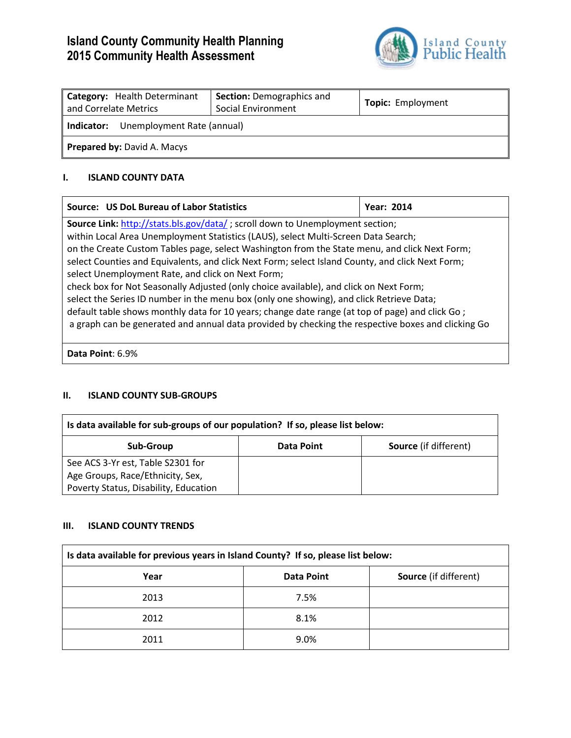# **Island County Community Health Planning 2015 Community Health Assessment**



| Category: Health Determinant<br>and Correlate Metrics | <b>Section: Demographics and</b><br><b>Social Environment</b> | <b>Topic:</b> Employment |
|-------------------------------------------------------|---------------------------------------------------------------|--------------------------|
| Unemployment Rate (annual)<br>Indicator:              |                                                               |                          |
| <b>Prepared by: David A. Macys</b>                    |                                                               |                          |

## **I. ISLAND COUNTY DATA**

| Source: US DoL Bureau of Labor Statistics                                                                                                                                                                                                                                                                                                                                                                                                                                                                                                                                                                                                                                                                                                                                                                                           | <b>Year: 2014</b> |
|-------------------------------------------------------------------------------------------------------------------------------------------------------------------------------------------------------------------------------------------------------------------------------------------------------------------------------------------------------------------------------------------------------------------------------------------------------------------------------------------------------------------------------------------------------------------------------------------------------------------------------------------------------------------------------------------------------------------------------------------------------------------------------------------------------------------------------------|-------------------|
| <b>Source Link:</b> http://stats.bls.gov/data/; scroll down to Unemployment section;<br>within Local Area Unemployment Statistics (LAUS), select Multi-Screen Data Search;<br>on the Create Custom Tables page, select Washington from the State menu, and click Next Form;<br>select Counties and Equivalents, and click Next Form; select Island County, and click Next Form;<br>select Unemployment Rate, and click on Next Form;<br>check box for Not Seasonally Adjusted (only choice available), and click on Next Form;<br>select the Series ID number in the menu box (only one showing), and click Retrieve Data;<br>default table shows monthly data for 10 years; change date range (at top of page) and click Go;<br>a graph can be generated and annual data provided by checking the respective boxes and clicking Go |                   |
|                                                                                                                                                                                                                                                                                                                                                                                                                                                                                                                                                                                                                                                                                                                                                                                                                                     |                   |

**Data Point**: 6.9%

## **II. ISLAND COUNTY SUB-GROUPS**

| Is data available for sub-groups of our population? If so, please list below: |            |                              |
|-------------------------------------------------------------------------------|------------|------------------------------|
| Sub-Group                                                                     | Data Point | <b>Source</b> (if different) |
| See ACS 3-Yr est, Table S2301 for                                             |            |                              |
| Age Groups, Race/Ethnicity, Sex,                                              |            |                              |
| Poverty Status, Disability, Education                                         |            |                              |

#### **III. ISLAND COUNTY TRENDS**

| Is data available for previous years in Island County? If so, please list below: |                   |                              |
|----------------------------------------------------------------------------------|-------------------|------------------------------|
| Year                                                                             | <b>Data Point</b> | <b>Source</b> (if different) |
| 2013                                                                             | 7.5%              |                              |
| 2012                                                                             | 8.1%              |                              |
| 2011                                                                             | 9.0%              |                              |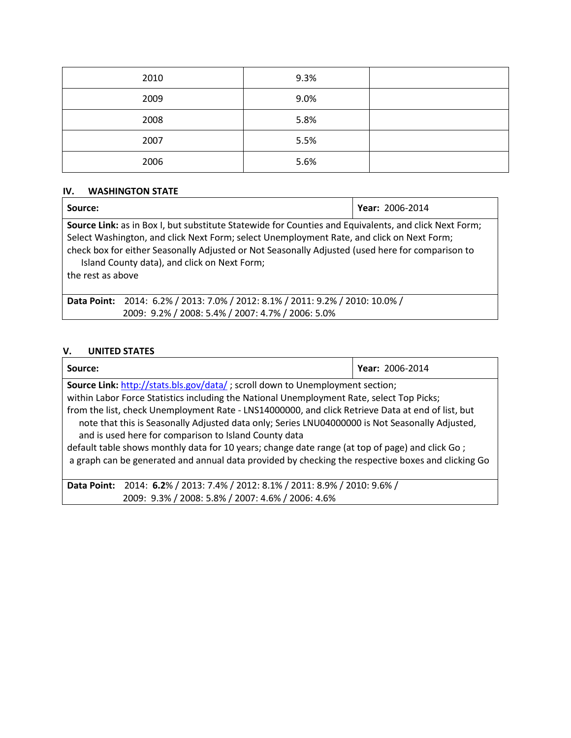| 2010 | 9.3% |  |
|------|------|--|
| 2009 | 9.0% |  |
| 2008 | 5.8% |  |
| 2007 | 5.5% |  |
| 2006 | 5.6% |  |

## **IV. WASHINGTON STATE**

| Source:                                                                                                                                                                                                                                                                                                                                                                     | <b>Year: 2006-2014</b> |  |
|-----------------------------------------------------------------------------------------------------------------------------------------------------------------------------------------------------------------------------------------------------------------------------------------------------------------------------------------------------------------------------|------------------------|--|
| Source Link: as in Box I, but substitute Statewide for Counties and Equivalents, and click Next Form;<br>Select Washington, and click Next Form; select Unemployment Rate, and click on Next Form;<br>check box for either Seasonally Adjusted or Not Seasonally Adjusted (used here for comparison to<br>Island County data), and click on Next Form;<br>the rest as above |                        |  |
| Data Point: 2014: 6.2% / 2013: 7.0% / 2012: 8.1% / 2011: 9.2% / 2010: 10.0% /                                                                                                                                                                                                                                                                                               |                        |  |
| 2009: 9.2% / 2008: 5.4% / 2007: 4.7% / 2006: 5.0%                                                                                                                                                                                                                                                                                                                           |                        |  |

# **V. UNITED STATES**

| Source:                                                                                            | Year: 2006-2014 |  |
|----------------------------------------------------------------------------------------------------|-----------------|--|
| <b>Source Link:</b> http://stats.bls.gov/data/; scroll down to Unemployment section;               |                 |  |
| within Labor Force Statistics including the National Unemployment Rate, select Top Picks;          |                 |  |
| from the list, check Unemployment Rate - LNS14000000, and click Retrieve Data at end of list, but  |                 |  |
| note that this is Seasonally Adjusted data only; Series LNU04000000 is Not Seasonally Adjusted,    |                 |  |
| and is used here for comparison to Island County data                                              |                 |  |
| default table shows monthly data for 10 years; change date range (at top of page) and click Go;    |                 |  |
| a graph can be generated and annual data provided by checking the respective boxes and clicking Go |                 |  |
|                                                                                                    |                 |  |
| 2014: 6.2% / 2013: 7.4% / 2012: 8.1% / 2011: 8.9% / 2010: 9.6% /<br><b>Data Point:</b>             |                 |  |
| 2009: 9.3% / 2008: 5.8% / 2007: 4.6% / 2006: 4.6%                                                  |                 |  |